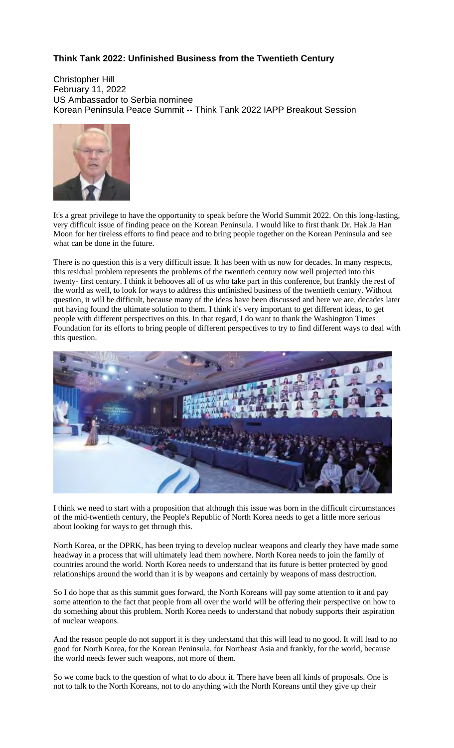## **Think Tank 2022: Unfinished Business from the Twentieth Century**

Christopher Hill February 11, 2022 US Ambassador to Serbia nominee Korean Peninsula Peace Summit -- Think Tank 2022 IAPP Breakout Session



It's a great privilege to have the opportunity to speak before the World Summit 2022. On this long-lasting, very difficult issue of finding peace on the Korean Peninsula. I would like to first thank Dr. Hak Ja Han Moon for her tireless efforts to find peace and to bring people together on the Korean Peninsula and see what can be done in the future.

There is no question this is a very difficult issue. It has been with us now for decades. In many respects, this residual problem represents the problems of the twentieth century now well projected into this twenty- first century. I think it behooves all of us who take part in this conference, but frankly the rest of the world as well, to look for ways to address this unfinished business of the twentieth century. Without question, it will be difficult, because many of the ideas have been discussed and here we are, decades later not having found the ultimate solution to them. I think it's very important to get different ideas, to get people with different perspectives on this. In that regard, I do want to thank the Washington Times Foundation for its efforts to bring people of different perspectives to try to find different ways to deal with this question.



I think we need to start with a proposition that although this issue was born in the difficult circumstances of the mid-twentieth century, the People's Republic of North Korea needs to get a little more serious about looking for ways to get through this.

North Korea, or the DPRK, has been trying to develop nuclear weapons and clearly they have made some headway in a process that will ultimately lead them nowhere. North Korea needs to join the family of countries around the world. North Korea needs to understand that its future is better protected by good relationships around the world than it is by weapons and certainly by weapons of mass destruction.

So I do hope that as this summit goes forward, the North Koreans will pay some attention to it and pay some attention to the fact that people from all over the world will be offering their perspective on how to do something about this problem. North Korea needs to understand that nobody supports their aspiration of nuclear weapons.

And the reason people do not support it is they understand that this will lead to no good. It will lead to no good for North Korea, for the Korean Peninsula, for Northeast Asia and frankly, for the world, because the world needs fewer such weapons, not more of them.

So we come back to the question of what to do about it. There have been all kinds of proposals. One is not to talk to the North Koreans, not to do anything with the North Koreans until they give up their